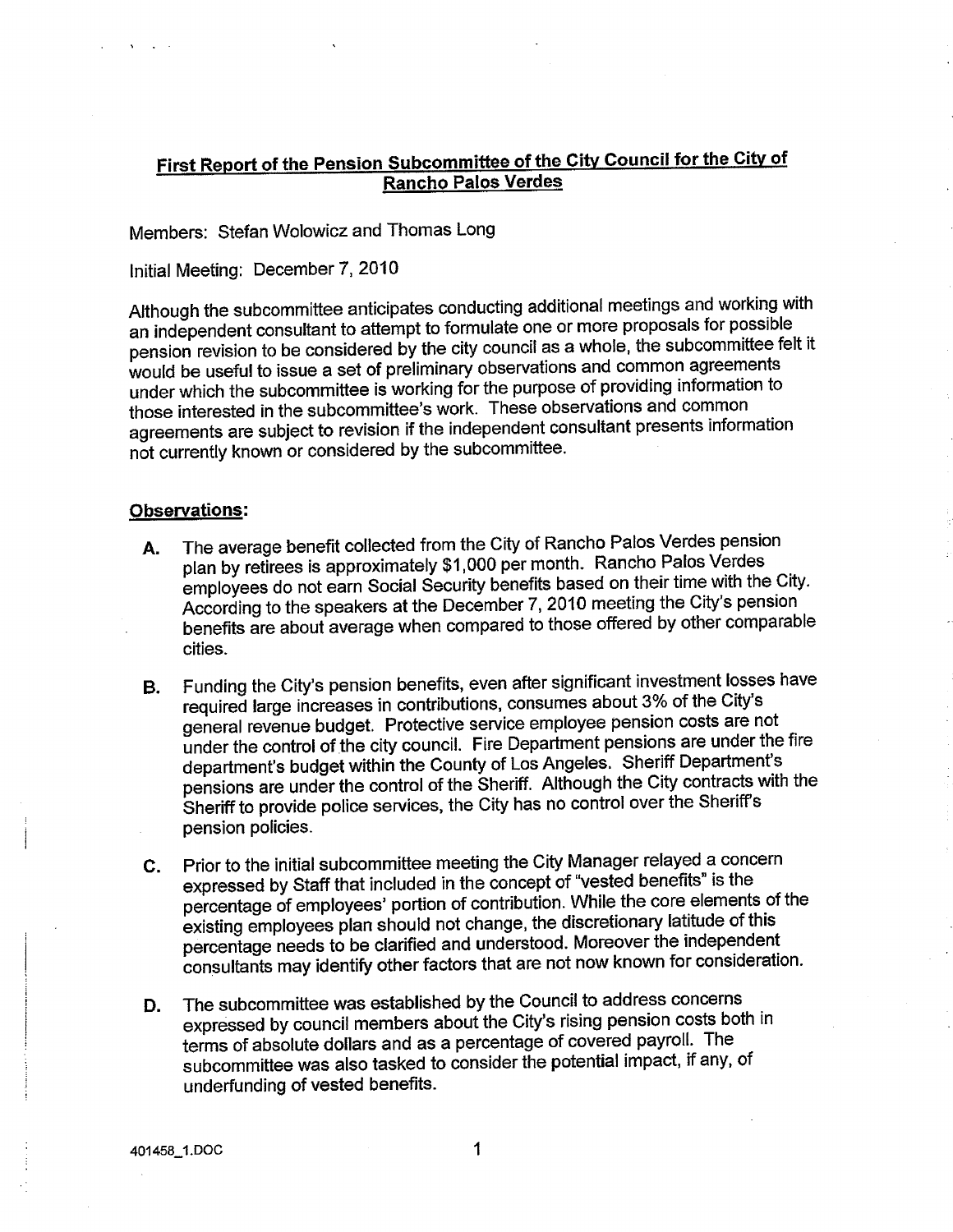## First Report of the Pension Subcommittee of the City Council for the City of **Rancho Palos Verdes**

Members: Stefan Wolowicz and Thomas Long

Initial Meeting: December 7, 2010

Although the subcommittee anticipates conducting additional meetings and working with an independent consultant to attempt to formulate one or more proposals for possible pension revision to be considered by the city council as a whole, the subcommittee felt it would be useful to issue a set of preliminary observations and common agreements under which the subcommittee is working for the purpose of providing information to those interested in the subcommittee's work. These observations and common agreements are subject to revision if the independent consultant presents information not currently known or considered by the subcommittee.

## **Observations:**

- The average benefit collected from the City of Rancho Palos Verdes pension Α. plan by retirees is approximately \$1,000 per month. Rancho Palos Verdes employees do not earn Social Security benefits based on their time with the City. According to the speakers at the December 7, 2010 meeting the City's pension benefits are about average when compared to those offered by other comparable cities.
- Funding the City's pension benefits, even after significant investment losses have В. required large increases in contributions, consumes about 3% of the City's general revenue budget. Protective service employee pension costs are not under the control of the city council. Fire Department pensions are under the fire department's budget within the County of Los Angeles. Sheriff Department's pensions are under the control of the Sheriff. Although the City contracts with the Sheriff to provide police services, the City has no control over the Sheriff's pension policies.
- Prior to the initial subcommittee meeting the City Manager relayed a concern С. expressed by Staff that included in the concept of "vested benefits" is the percentage of employees' portion of contribution. While the core elements of the existing employees plan should not change, the discretionary latitude of this percentage needs to be clarified and understood. Moreover the independent consultants may identify other factors that are not now known for consideration.
- The subcommittee was established by the Council to address concerns D. expressed by council members about the City's rising pension costs both in terms of absolute dollars and as a percentage of covered payroll. The subcommittee was also tasked to consider the potential impact, if any, of underfunding of vested benefits.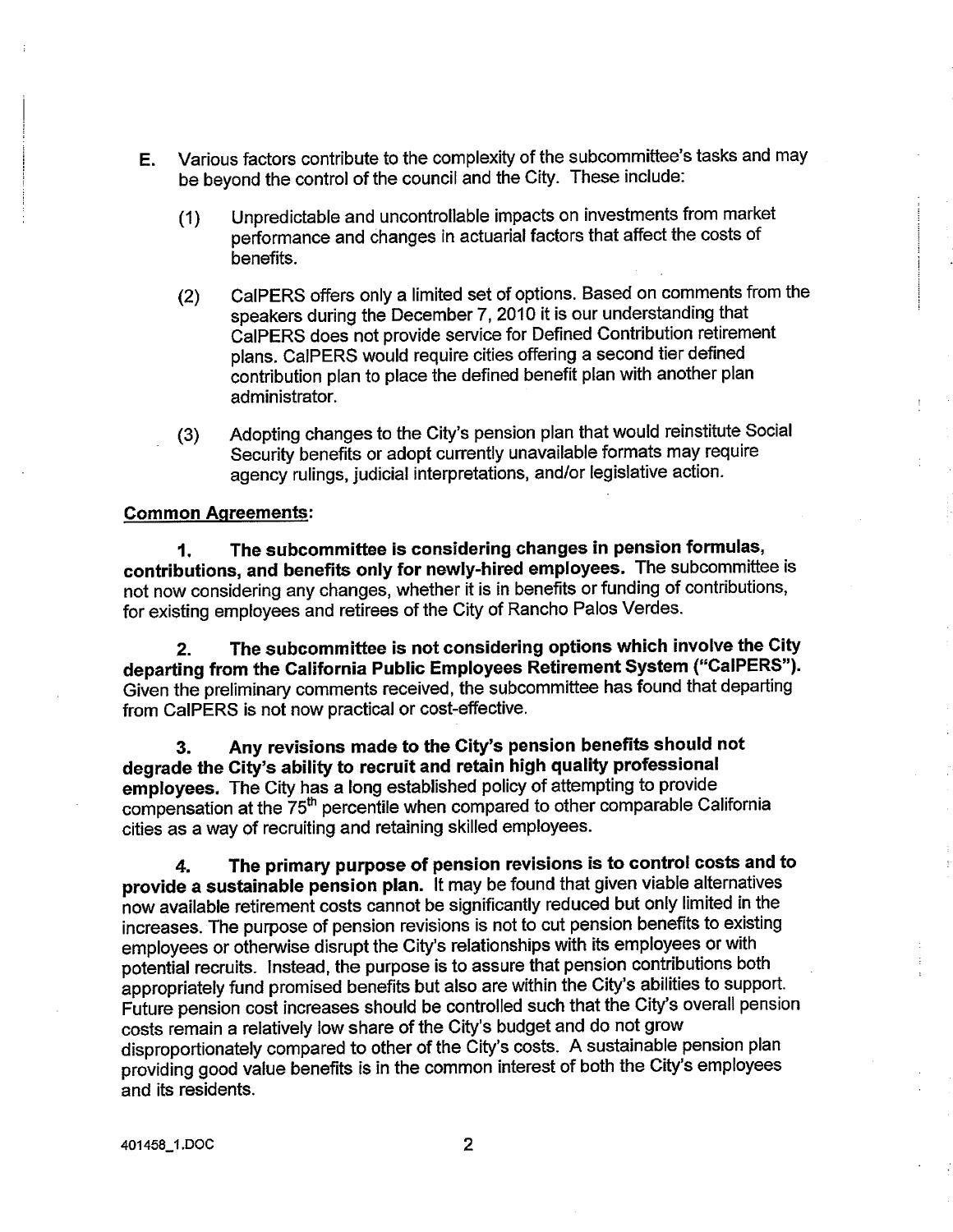- E. Various factors contríbute to the complexity of the subcommittee's tasks and may be beyond the control of the council and the city. These include:
	- (1) Unpredictable and uncontrollable impacts on investments from market performance and changes in actuarial factors that affect the costs of benefits.
	- (2) CaIPERS offers only a límited set of options. Based on comments from the speakers during the December 7, 2010 it is our understanding that CaIPERS does not provide service for Defined Contribution retirement plans. CaIPERS would require cities offering a second tier defined contribution plan to place the defíned benefit plan with another plan administrator.
	- (3) Adopting changes to the City's pension plan that would reinstitute Social Security benefits or adopt currently unavailable formats may require agency rulings, judicial interpretations, andlor legislative action.

## Gommon Aqreements:

1. The subcommittee is considering changes in pension formulas, contributions, and benefits only for newly-hired employees. The subcommittee is not now considering any changes, whether it is in benefits or funding of contributions, for existing employees and retirees of the City of Rancho Palos Verdes.

Z. The subcommittee is not considering options which involve the City departing from the Galifornia Public Employees Retirement System ("Ga|PERS"). Given the preliminary comments received, the subcommittee has found that departing from CaIPERS is not now practical or cost-effective.

3. Any revisions made to the Gity's pension benefits should not degrade the City's ability to recruit and retain high quality professional emþloyees. The City has a long established policy of attempting to provide compensation at the 75<sup>th</sup> percentile when compared to other comparable California cities as a way of recruíting and retaining skilled employees.

l. The primary purpose of pension revisions is to control costs and to provide a sustainable pension plan. lt may be found that given viable alternatives how availabte retiremeni costs cannot be significantly reduced but only limited in the increases. The purpose of pension revisions is not to cut pension benefits to existing employees or othenryise disrupt the City's relationships with its employees or with potential recruits. lnstead, the purpose is to assure that pension contributions both appropriately fund promised benefits but also are within the City's abilities to support. Future pension cost increases should be controlled such that the City's overall pension costs remain a relatively low share of the City's budget and do not grow disproportionately compared to other of the City's costs. A sustainable pension plan providing good value benefits is in the common interest of both the City's employees and its residents.